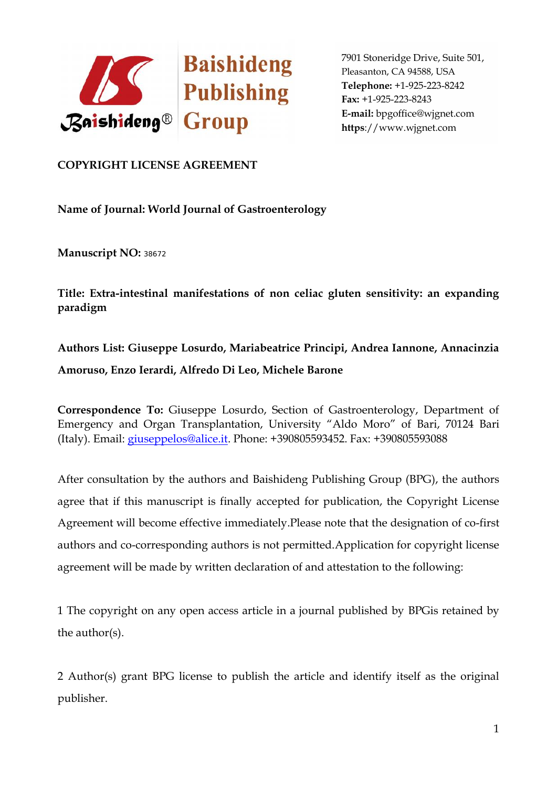

## **COPYRIGHT LICENSE AGREEMENT**

**Name of Journal: World Journal of Gastroenterology**

**Manuscript NO:** <sup>38672</sup>

**Title: Extra-intestinal manifestations of non celiac gluten sensitivity: an expanding paradigm**

## **Authors List: Giuseppe Losurdo, Mariabeatrice Principi, Andrea Iannone, Annacinzia Amoruso, Enzo Ierardi, Alfredo Di Leo, Michele Barone**

**Correspondence To:** Giuseppe Losurdo, Section of Gastroenterology, Department of Emergency and Organ Transplantation, University "Aldo Moro" of Bari, 70124 Bari (Italy). Email: giuseppelos@alice.it. Phone: +390805593452. Fax: +390805593088

After consultation by the authors and Baishideng Publishing Group (BPG), the authors agree that if this manuscript is finally accepted for publication, the Copyright License Agreement will become effective immediately.Please note that the designation of co-first authors and co-corresponding authors is not permitted.Application for copyright license agreement will be made by written declaration of and attestation to the following:

1 The copyright on any open access article in a journal published by BPGis retained by the author(s).

2 Author(s) grant BPG license to publish the article and identify itself as the original publisher.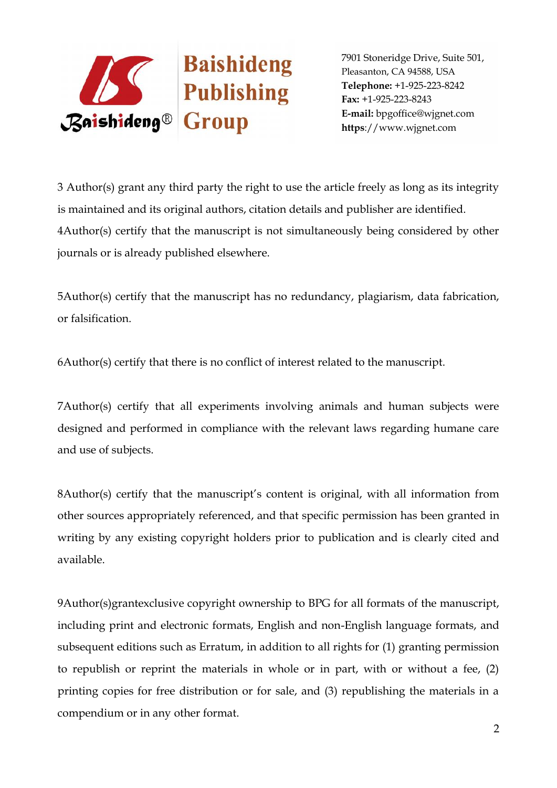

3 Author(s) grant any third party the right to use the article freely as long as its integrity is maintained and its original authors, citation details and publisher are identified. 4Author(s) certify that the manuscript is not simultaneously being considered by other journals or is already published elsewhere.

5Author(s) certify that the manuscript has no redundancy, plagiarism, data fabrication, or falsification.

6Author(s) certify that there is no conflict of interest related to the manuscript.

7Author(s) certify that all experiments involving animals and human subjects were designed and performed in compliance with the relevant laws regarding humane care and use of subjects.

8Author(s) certify that the manuscript's content is original, with all information from other sources appropriately referenced, and that specific permission has been granted in writing by any existing copyright holders prior to publication and is clearly cited and available.

9Author(s)grantexclusive copyright ownership to BPG for all formats of the manuscript, including print and electronic formats, English and non-English language formats, and subsequent editions such as Erratum, in addition to all rights for (1) granting permission to republish or reprint the materials in whole or in part, with or without a fee, (2) printing copies for free distribution or for sale, and (3) republishing the materials in a compendium or in any other format.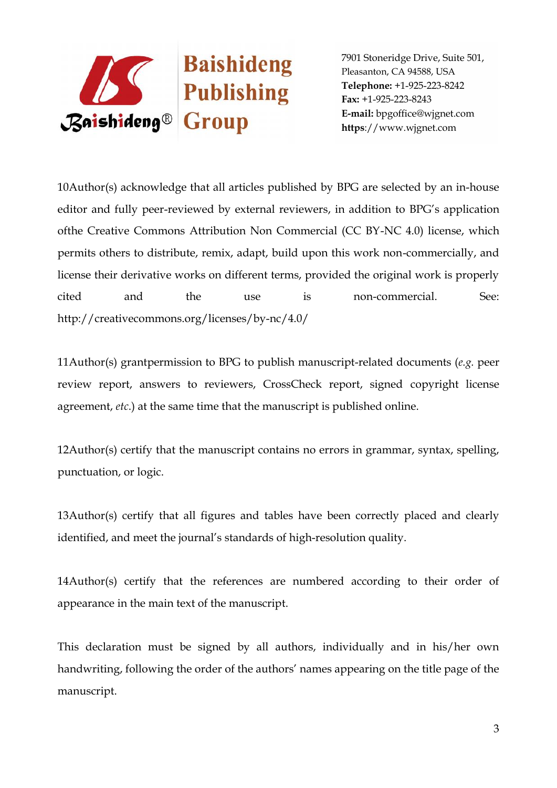

10Author(s) acknowledge that all articles published by BPG are selected by an in-house editor and fully peer-reviewed by external reviewers, in addition to BPG's application ofthe Creative Commons Attribution Non Commercial (CC BY-NC 4.0) license, which permits others to distribute, remix, adapt, build upon this work non-commercially, and license their derivative works on different terms, provided the original work is properly cited and the use is non-commercial. See: http://creativecommons.org/licenses/by-nc/4.0/

11Author(s) grantpermission to BPG to publish manuscript-related documents (*e.g.* peer review report, answers to reviewers, CrossCheck report, signed copyright license agreement, *etc*.) at the same time that the manuscript is published online.

12Author(s) certify that the manuscript contains no errors in grammar, syntax, spelling, punctuation, or logic.

13Author(s) certify that all figures and tables have been correctly placed and clearly identified, and meet the journal's standards of high-resolution quality.

14Author(s) certify that the references are numbered according to their order of appearance in the main text of the manuscript.

This declaration must be signed by all authors, individually and in his/her own handwriting, following the order of the authors' names appearing on the title page of the manuscript.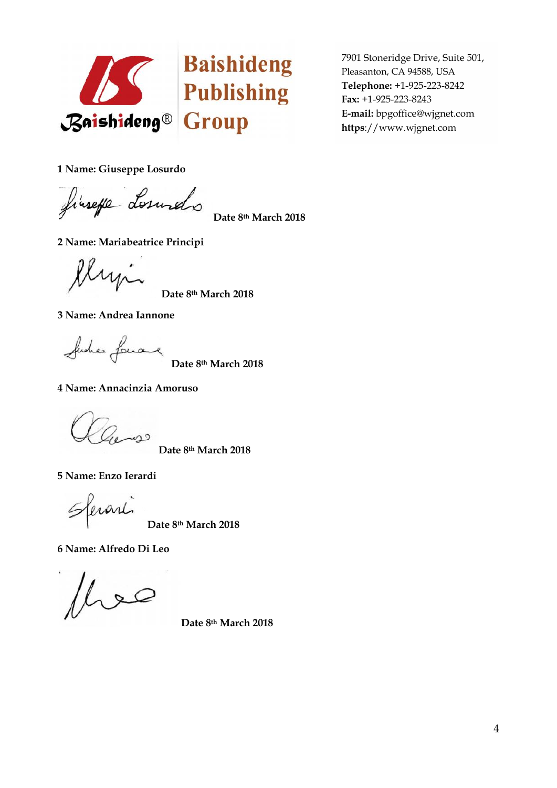

**1 Name: Giuseppe Losurdo**

finsefe Losundo

**Date 8th March 2018**

**2 Name: Mariabeatrice Principi**

Ilyn

**Date 8th March 2018**

**3 Name: Andrea Iannone**

Suches Lowang

**Date 8th March 2018**

**4 Name: Annacinzia Amoruso**

Zeness

**Date 8th March 2018**

**5 Name: Enzo Ierardi**

erarl

**Date 8th March 2018**

**6 Name: Alfredo Di Leo**

 $\infty$ 

**Date 8th March 2018**